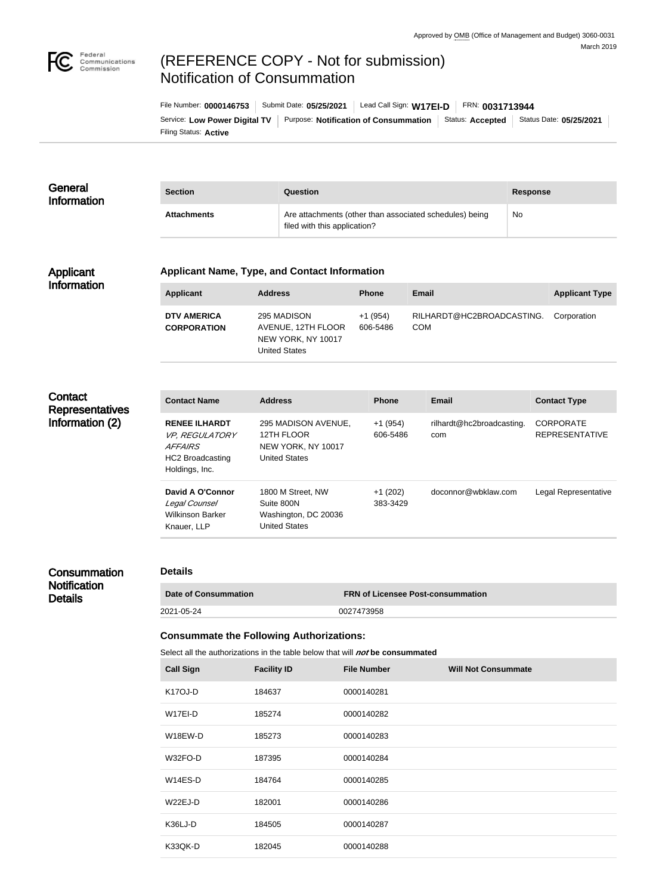

# (REFERENCE COPY - Not for submission) Notification of Consummation

Filing Status: **Active** Service: Low Power Digital TV | Purpose: Notification of Consummation | Status: Accepted | Status Date: 05/25/2021 File Number: **0000146753** Submit Date: **05/25/2021** Lead Call Sign: **W17EI-D** FRN: **0031713944**

#### **General** Information **Section Question Response** Attachments **Attachments** Are attachments (other than associated schedules) being filed with this application? No

#### Applicant Information

#### **Applicant Name, Type, and Contact Information**

| Applicant                                | <b>Address</b>                                                                  | <b>Phone</b>          | Email                                   | <b>Applicant Type</b> |
|------------------------------------------|---------------------------------------------------------------------------------|-----------------------|-----------------------------------------|-----------------------|
| <b>DTV AMERICA</b><br><b>CORPORATION</b> | 295 MADISON<br>AVENUE, 12TH FLOOR<br>NEW YORK, NY 10017<br><b>United States</b> | $+1(954)$<br>606-5486 | RILHARDT@HC2BROADCASTING.<br><b>COM</b> | Corporation           |

# **Contact Representatives** Information (2)

| <b>Contact Name</b>                                                                                          | <b>Address</b>                                                                  | <b>Phone</b>          | <b>Email</b>                     | <b>Contact Type</b>                       |
|--------------------------------------------------------------------------------------------------------------|---------------------------------------------------------------------------------|-----------------------|----------------------------------|-------------------------------------------|
| <b>RENEE ILHARDT</b><br><i>VP, REGULATORY</i><br><i>AFFAIRS</i><br><b>HC2 Broadcasting</b><br>Holdings, Inc. | 295 MADISON AVENUE.<br>12TH FLOOR<br>NEW YORK, NY 10017<br><b>United States</b> | $+1(954)$<br>606-5486 | rilhardt@hc2broadcasting.<br>com | <b>CORPORATE</b><br><b>REPRESENTATIVE</b> |
| David A O'Connor<br>Legal Counsel<br><b>Wilkinson Barker</b><br>Knauer, LLP                                  | 1800 M Street, NW<br>Suite 800N<br>Washington, DC 20036<br>United States        | $+1(202)$<br>383-3429 | doconnor@wbklaw.com              | Legal Representative                      |

# **Consummation Notification** Details

## **Details**

| <b>Date of Consummation</b> | <b>FRN of Licensee Post-consummation</b> |
|-----------------------------|------------------------------------------|
| 2021-05-24                  | 0027473958                               |

## **Consummate the Following Authorizations:**

Select all the authorizations in the table below that will *not* be consummated

| <b>Call Sign</b>     | <b>Facility ID</b> | <b>File Number</b> | <b>Will Not Consummate</b> |
|----------------------|--------------------|--------------------|----------------------------|
| K <sub>17</sub> OJ-D | 184637             | 0000140281         |                            |
| W17EI-D              | 185274             | 0000140282         |                            |
| W18EW-D              | 185273             | 0000140283         |                            |
| W32FO-D              | 187395             | 0000140284         |                            |
| $W14ES-D$            | 184764             | 0000140285         |                            |
| $W22EJ-D$            | 182001             | 0000140286         |                            |
| K36LJ-D              | 184505             | 0000140287         |                            |
| K33QK-D              | 182045             | 0000140288         |                            |